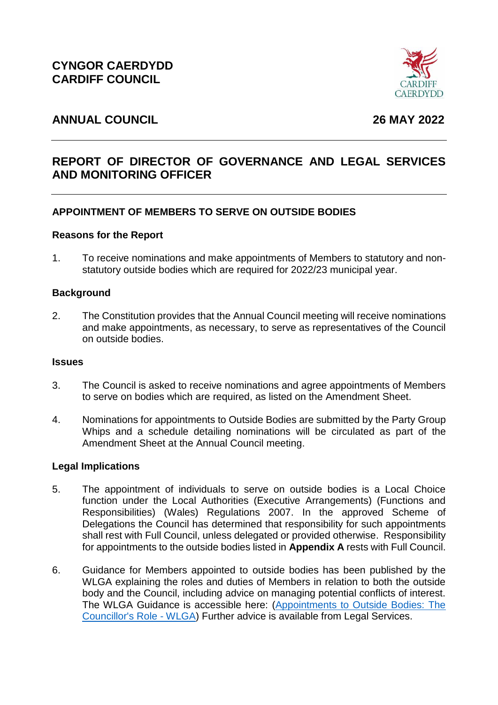

# **ANNUAL COUNCIL 26 MAY 2022**

# **REPORT OF DIRECTOR OF GOVERNANCE AND LEGAL SERVICES AND MONITORING OFFICER**

## **APPOINTMENT OF MEMBERS TO SERVE ON OUTSIDE BODIES**

#### **Reasons for the Report**

1. To receive nominations and make appointments of Members to statutory and nonstatutory outside bodies which are required for 2022/23 municipal year.

#### **Background**

2. The Constitution provides that the Annual Council meeting will receive nominations and make appointments, as necessary, to serve as representatives of the Council on outside bodies.

#### **Issues**

- 3. The Council is asked to receive nominations and agree appointments of Members to serve on bodies which are required, as listed on the Amendment Sheet.
- 4. Nominations for appointments to Outside Bodies are submitted by the Party Group Whips and a schedule detailing nominations will be circulated as part of the Amendment Sheet at the Annual Council meeting.

#### **Legal Implications**

- 5. The appointment of individuals to serve on outside bodies is a Local Choice function under the Local Authorities (Executive Arrangements) (Functions and Responsibilities) (Wales) Regulations 2007. In the approved Scheme of Delegations the Council has determined that responsibility for such appointments shall rest with Full Council, unless delegated or provided otherwise. Responsibility for appointments to the outside bodies listed in **Appendix A** rests with Full Council.
- 6. Guidance for Members appointed to outside bodies has been published by the WLGA explaining the roles and duties of Members in relation to both the outside body and the Council, including advice on managing potential conflicts of interest. The WLGA Guidance is accessible here: [\(Appointments to Outside Bodies: The](https://www.wlga.wales/appointments-to-outside-bodies-the-councillors-role)  [Councillor's Role -](https://www.wlga.wales/appointments-to-outside-bodies-the-councillors-role) WLGA) Further advice is available from Legal Services.